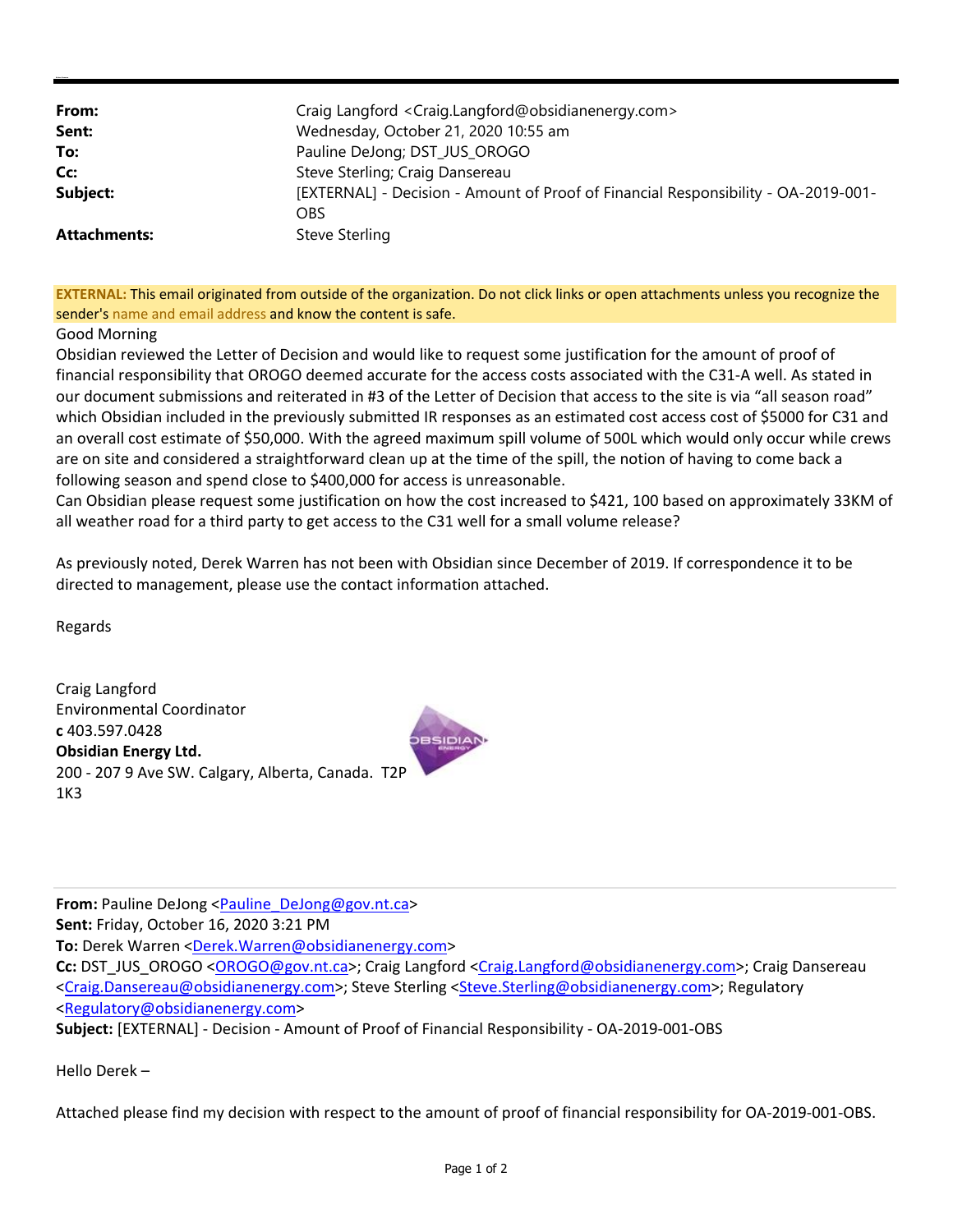| From:               | Craig Langford <craig.langford@obsidianenergy.com></craig.langford@obsidianenergy.com> |
|---------------------|----------------------------------------------------------------------------------------|
| Sent:               | Wednesday, October 21, 2020 10:55 am                                                   |
| To:                 | Pauline DeJong; DST_JUS_OROGO                                                          |
| Cc:                 | Steve Sterling; Craig Dansereau                                                        |
| Subject:            | [EXTERNAL] - Decision - Amount of Proof of Financial Responsibility - OA-2019-001-     |
|                     | OBS                                                                                    |
| <b>Attachments:</b> | Steve Sterling                                                                         |

**EXTERNAL:** This email originated from outside of the organization. Do not click links or open attachments unless you recognize the sender's name and email address and know the content is safe.

## Good Morning

Obsidian reviewed the Letter of Decision and would like to request some justification for the amount of proof of financial responsibility that OROGO deemed accurate for the access costs associated with the C31‐A well. As stated in our document submissions and reiterated in #3 of the Letter of Decision that access to the site is via "all season road" which Obsidian included in the previously submitted IR responses as an estimated cost access cost of \$5000 for C31 and an overall cost estimate of \$50,000. With the agreed maximum spill volume of 500L which would only occur while crews are on site and considered a straightforward clean up at the time of the spill, the notion of having to come back a following season and spend close to \$400,000 for access is unreasonable.

Can Obsidian please request some justification on how the cost increased to \$421, 100 based on approximately 33KM of all weather road for a third party to get access to the C31 well for a small volume release?

As previously noted, Derek Warren has not been with Obsidian since December of 2019. If correspondence it to be directed to management, please use the contact information attached.

Regards

Craig Langford Environmental Coordinator **c** 403.597.0428 **Obsidian Energy Ltd.** 200 ‐ 207 9 Ave SW. Calgary, Alberta, Canada. T2P 1K3



Hello Derek –

Attached please find my decision with respect to the amount of proof of financial responsibility for OA‐2019‐001‐OBS.